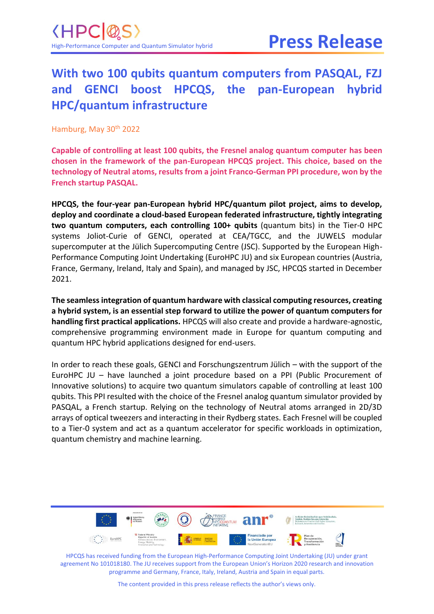#### **With two 100 qubits quantum computers from PASQAL, FZJ and GENCI boost HPCQS, the pan-European hybrid HPC/quantum infrastructure**

Hamburg, May 30<sup>th</sup> 2022

**Capable of controlling at least 100 qubits, the Fresnel analog quantum computer has been chosen in the framework of the pan-European HPCQS project. This choice, based on the technology of Neutral atoms, results from a joint Franco-German PPI procedure, won by the French startup PASQAL.**

**HPCQS, the four-year pan-European hybrid HPC/quantum pilot project, aims to develop, deploy and coordinate a cloud-based European federated infrastructure, tightly integrating two quantum computers, each controlling 100+ qubits** (quantum bits) in the Tier-0 HPC systems Joliot-Curie of GENCI, operated at CEA/TGCC, and the JUWELS modular supercomputer at the Jülich Supercomputing Centre (JSC). Supported by the European High-Performance Computing Joint Undertaking (EuroHPC JU) and six European countries (Austria, France, Germany, Ireland, Italy and Spain), and managed by JSC, HPCQS started in December 2021.

**The seamless integration of quantum hardware with classical computing resources, creating a hybrid system, is an essential step forward to utilize the power of quantum computers for handling first practical applications.** HPCQS will also create and provide a hardware-agnostic, comprehensive programming environment made in Europe for quantum computing and quantum HPC hybrid applications designed for end-users.

In order to reach these goals, GENCI and Forschungszentrum Jülich – with the support of the EuroHPC JU – have launched a joint procedure based on a PPI (Public Procurement of Innovative solutions) to acquire two quantum simulators capable of controlling at least 100 qubits. This PPI resulted with the choice of the Fresnel analog quantum simulator provided by PASQAL, a French startup. Relying on the technology of Neutral atoms arranged in 2D/3D arrays of optical tweezers and interacting in their Rydberg states. Each Fresnel will be coupled to a Tier-0 system and act as a quantum accelerator for specific workloads in optimization, quantum chemistry and machine learning.



HPCQS has received funding from the European High-Performance Computing Joint Undertaking (JU) under grant agreement No 101018180. The JU receives support from the European Union's Horizon 2020 research and innovation programme and Germany, France, Italy, Ireland, Austria and Spain in equal parts.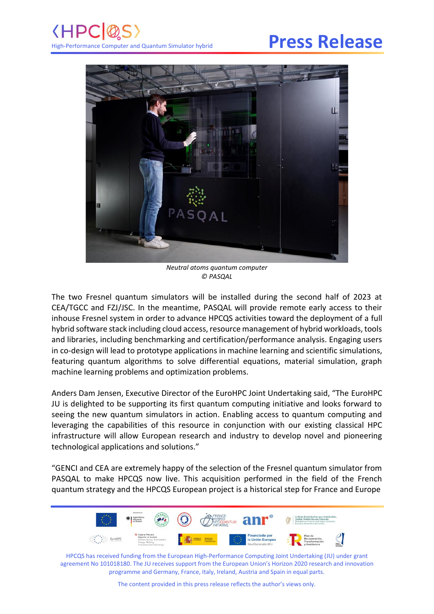# **Press Release**



*Neutral atoms quantum computer © PASQAL*

The two Fresnel quantum simulators will be installed during the second half of 2023 at CEA/TGCC and FZJ/JSC. In the meantime, PASQAL will provide remote early access to their inhouse Fresnel system in order to advance HPCQS activities toward the deployment of a full hybrid software stack including cloud access, resource management of hybrid workloads, tools and libraries, including benchmarking and certification/performance analysis. Engaging users in co-design will lead to prototype applications in machine learning and scientific simulations, featuring quantum algorithms to solve differential equations, material simulation, graph machine learning problems and optimization problems.

Anders Dam Jensen, Executive Director of the EuroHPC Joint Undertaking said, "The EuroHPC JU is delighted to be supporting its first quantum computing initiative and looks forward to seeing the new quantum simulators in action. Enabling access to quantum computing and leveraging the capabilities of this resource in conjunction with our existing classical HPC infrastructure will allow European research and industry to develop novel and pioneering technological applications and solutions."

"GENCI and CEA are extremely happy of the selection of the Fresnel quantum simulator from PASQAL to make HPCQS now live. This acquisition performed in the field of the French quantum strategy and the HPCQS European project is a historical step for France and Europe



HPCQS has received funding from the European High-Performance Computing Joint Undertaking (JU) under grant agreement No 101018180. The JU receives support from the European Union's Horizon 2020 research and innovation programme and Germany, France, Italy, Ireland, Austria and Spain in equal parts.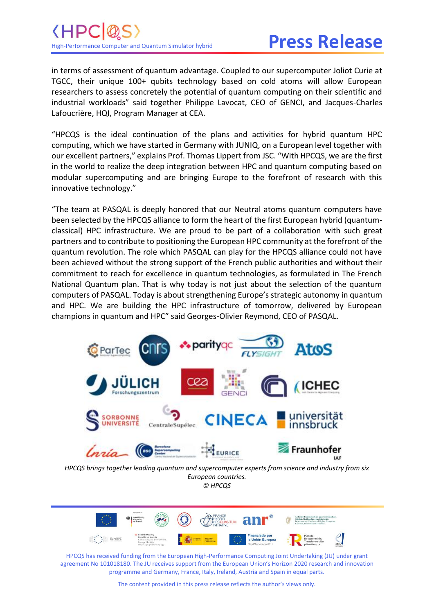### (HP) High-Performance Computer and Quantum Simulator hybrid

# **Press Release**

in terms of assessment of quantum advantage. Coupled to our supercomputer Joliot Curie at TGCC, their unique 100+ qubits technology based on cold atoms will allow European researchers to assess concretely the potential of quantum computing on their scientific and industrial workloads" said together Philippe Lavocat, CEO of GENCI, and Jacques-Charles Lafoucrière, HQI, Program Manager at CEA.

"HPCQS is the ideal continuation of the plans and activities for hybrid quantum HPC computing, which we have started in Germany with JUNIQ, on a European level together with our excellent partners," explains Prof. Thomas Lippert from JSC. "With HPCQS, we are the first in the world to realize the deep integration between HPC and quantum computing based on modular supercomputing and are bringing Europe to the forefront of research with this innovative technology."

"The team at PASQAL is deeply honored that our Neutral atoms quantum computers have been selected by the HPCQS alliance to form the heart of the first European hybrid (quantumclassical) HPC infrastructure. We are proud to be part of a collaboration with such great partners and to contribute to positioning the European HPC community at the forefront of the quantum revolution. The role which PASQAL can play for the HPCQS alliance could not have been achieved without the strong support of the French public authorities and without their commitment to reach for excellence in quantum technologies, as formulated in The French National Quantum plan. That is why today is not just about the selection of the quantum computers of PASQAL. Today is about strengthening Europe's strategic autonomy in quantum and HPC. We are building the HPC infrastructure of tomorrow, delivered by European champions in quantum and HPC" said Georges-Olivier Reymond, CEO of PASQAL.



*HPCQS brings together leading quantum and supercomputer experts from science and industry from six European countries. © HPCQS*



HPCQS has received funding from the European High-Performance Computing Joint Undertaking (JU) under grant agreement No 101018180. The JU receives support from the European Union's Horizon 2020 research and innovation programme and Germany, France, Italy, Ireland, Austria and Spain in equal parts.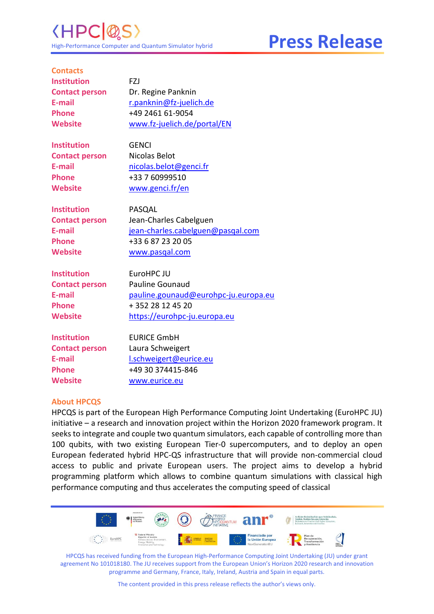**Press Release**

| <b>Contacts</b>       |                                      |
|-----------------------|--------------------------------------|
| <b>Institution</b>    | FZJ                                  |
| <b>Contact person</b> | Dr. Regine Panknin                   |
| E-mail                | r.panknin@fz-juelich.de              |
| <b>Phone</b>          | +49 2461 61-9054                     |
| <b>Website</b>        | www.fz-juelich.de/portal/EN          |
| <b>Institution</b>    | <b>GENCI</b>                         |
| <b>Contact person</b> | Nicolas Belot                        |
| E-mail                | nicolas.belot@genci.fr               |
| <b>Phone</b>          | +33 7 60999510                       |
| <b>Website</b>        | www.genci.fr/en                      |
| <b>Institution</b>    | PASQAL                               |
| <b>Contact person</b> | Jean-Charles Cabelguen               |
| E-mail                | jean-charles.cabelguen@pasqal.com    |
| <b>Phone</b>          | +33 6 87 23 20 05                    |
| <b>Website</b>        | www.pasqal.com                       |
| <b>Institution</b>    | EuroHPC JU                           |
| <b>Contact person</b> | <b>Pauline Gounaud</b>               |
| E-mail                | pauline.gounaud@eurohpc-ju.europa.eu |
| <b>Phone</b>          | + 352 28 12 45 20                    |
| <b>Website</b>        | https://eurohpc-ju.europa.eu         |
| <b>Institution</b>    | <b>EURICE GmbH</b>                   |
| <b>Contact person</b> | Laura Schweigert                     |
| E-mail                | I.schweigert@eurice.eu               |
| <b>Phone</b>          | +49 30 374415-846                    |
| <b>Website</b>        | www.eurice.eu                        |

#### **About HPCQS**

HPCQS is part of the European High Performance Computing Joint Undertaking (EuroHPC JU) initiative – a research and innovation project within the Horizon 2020 framework program. It seeks to integrate and couple two quantum simulators, each capable of controlling more than 100 qubits, with two existing European Tier-0 supercomputers, and to deploy an open European federated hybrid HPC-QS infrastructure that will provide non-commercial cloud access to public and private European users. The project aims to develop a hybrid programming platform which allows to combine quantum simulations with classical high performance computing and thus accelerates the computing speed of classical



HPCQS has received funding from the European High-Performance Computing Joint Undertaking (JU) under grant agreement No 101018180. The JU receives support from the European Union's Horizon 2020 research and innovation programme and Germany, France, Italy, Ireland, Austria and Spain in equal parts.